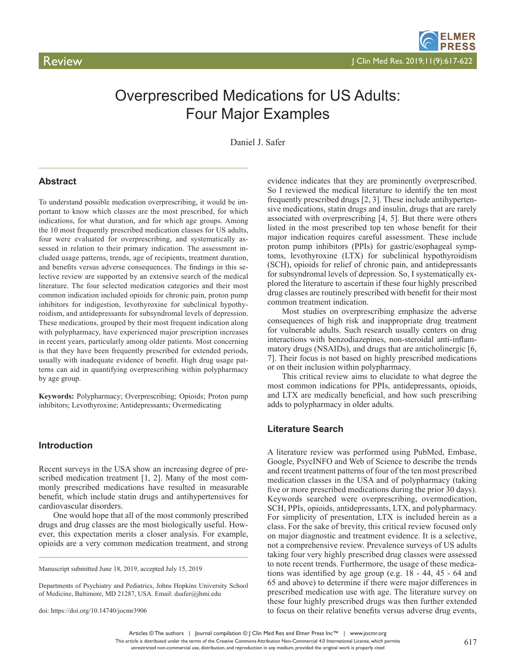# Overprescribed Medications for US Adults: Four Major Examples

Daniel J. Safer

### **Abstract**

To understand possible medication overprescribing, it would be important to know which classes are the most prescribed, for which indications, for what duration, and for which age groups. Among the 10 most frequently prescribed medication classes for US adults, four were evaluated for overprescribing, and systematically assessed in relation to their primary indication. The assessment included usage patterns, trends, age of recipients, treatment duration, and benefits versus adverse consequences. The findings in this selective review are supported by an extensive search of the medical literature. The four selected medication categories and their most common indication included opioids for chronic pain, proton pump inhibitors for indigestion, levothyroxine for subclinical hypothyroidism, and antidepressants for subsyndromal levels of depression. These medications, grouped by their most frequent indication along with polypharmacy, have experienced major prescription increases in recent years, particularly among older patients. Most concerning is that they have been frequently prescribed for extended periods, usually with inadequate evidence of benefit. High drug usage patterns can aid in quantifying overprescribing within polypharmacy by age group.

**Keywords:** Polypharmacy; Overprescribing; Opioids; Proton pump inhibitors; Levothyroxine; Antidepressants; Overmedicating

### **Introduction**

Recent surveys in the USA show an increasing degree of prescribed medication treatment [1, 2]. Many of the most commonly prescribed medications have resulted in measurable benefit, which include statin drugs and antihypertensives for cardiovascular disorders.

One would hope that all of the most commonly prescribed drugs and drug classes are the most biologically useful. However, this expectation merits a closer analysis. For example, opioids are a very common medication treatment, and strong

Manuscript submitted June 18, 2019, accepted July 15, 2019

Departments of Psychiatry and Pediatrics, Johns Hopkins University School of Medicine, Baltimore, MD 21287, USA. Email: dsafer@jhmi.edu

doi: https://doi.org/10.14740/jocmr3906

evidence indicates that they are prominently overprescribed. So I reviewed the medical literature to identify the ten most frequently prescribed drugs [2, 3]. These include antihypertensive medications, statin drugs and insulin, drugs that are rarely associated with overprescribing [4, 5]. But there were others listed in the most prescribed top ten whose benefit for their major indication requires careful assessment. These include proton pump inhibitors (PPIs) for gastric/esophageal symptoms, levothyroxine (LTX) for subclinical hypothyroidism (SCH), opioids for relief of chronic pain, and antidepressants for subsyndromal levels of depression. So, I systematically explored the literature to ascertain if these four highly prescribed drug classes are routinely prescribed with benefit for their most common treatment indication.

Most studies on overprescribing emphasize the adverse consequences of high risk and inappropriate drug treatment for vulnerable adults. Such research usually centers on drug interactions with benzodiazepines, non-steroidal anti-inflammatory drugs (NSAIDs), and drugs that are anticholinergic [6, 7]. Their focus is not based on highly prescribed medications or on their inclusion within polypharmacy.

This critical review aims to elucidate to what degree the most common indications for PPIs, antidepressants, opioids, and LTX are medically beneficial, and how such prescribing adds to polypharmacy in older adults.

### **Literature Search**

A literature review was performed using PubMed, Embase, Google, PsycINFO and Web of Science to describe the trends and recent treatment patterns of four of the ten most prescribed medication classes in the USA and of polypharmacy (taking five or more prescribed medications during the prior 30 days). Keywords searched were overprescribing, overmedication, SCH, PPIs, opioids, antidepressants, LTX, and polypharmacy. For simplicity of presentation, LTX is included herein as a class. For the sake of brevity, this critical review focused only on major diagnostic and treatment evidence. It is a selective, not a comprehensive review. Prevalence surveys of US adults taking four very highly prescribed drug classes were assessed to note recent trends. Furthermore, the usage of these medications was identified by age group (e.g. 18 - 44, 45 - 64 and 65 and above) to determine if there were major differences in prescribed medication use with age. The literature survey on these four highly prescribed drugs was then further extended to focus on their relative benefits versus adverse drug events,

Articles © The authors | Journal compilation © J Clin Med Res and Elmer Press Inc™ | www.jocmr.org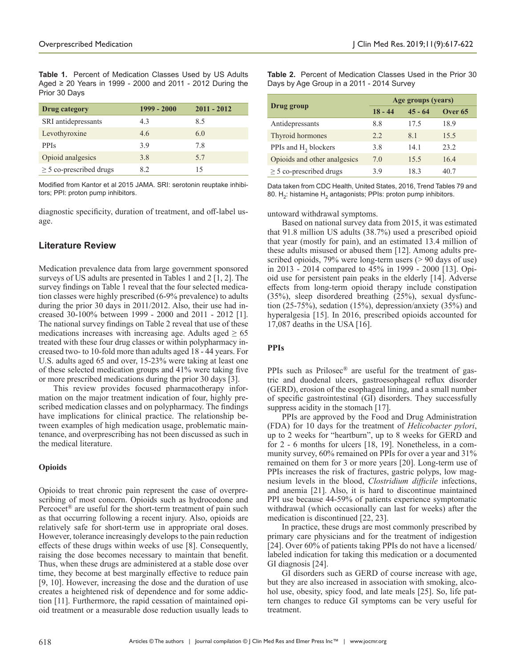**Table 1.** Percent of Medication Classes Used by US Adults Aged ≥ 20 Years in 1999 - 2000 and 2011 - 2012 During the Prior 30 Days

| Drug category                | $1999 - 2000$ | $2011 - 2012$ |
|------------------------------|---------------|---------------|
| SRI antidepressants          | 4.3           | 8.5           |
| Levothyroxine                | 4.6           | 6.0           |
| <b>PPIs</b>                  | 3.9           | 7.8           |
| Opioid analgesics            | 3.8           | 5.7           |
| $\geq$ 5 co-prescribed drugs | 8.2           | 15            |

Modified from Kantor et al 2015 JAMA. SRI: serotonin reuptake inhibitors; PPI: proton pump inhibitors.

diagnostic specificity, duration of treatment, and off-label usage.

# **Literature Review**

Medication prevalence data from large government sponsored surveys of US adults are presented in Tables 1 and 2 [1, 2]. The survey findings on Table 1 reveal that the four selected medication classes were highly prescribed (6-9% prevalence) to adults during the prior 30 days in 2011/2012. Also, their use had increased 30-100% between 1999 - 2000 and 2011 - 2012 [1]. The national survey findings on Table 2 reveal that use of these medications increases with increasing age. Adults aged  $\geq 65$ treated with these four drug classes or within polypharmacy increased two- to 10-fold more than adults aged 18 - 44 years. For U.S. adults aged 65 and over, 15-23% were taking at least one of these selected medication groups and 41% were taking five or more prescribed medications during the prior 30 days [3].

This review provides focused pharmacotherapy information on the major treatment indication of four, highly prescribed medication classes and on polypharmacy. The findings have implications for clinical practice. The relationship between examples of high medication usage, problematic maintenance, and overprescribing has not been discussed as such in the medical literature.

### **Opioids**

Opioids to treat chronic pain represent the case of overprescribing of most concern. Opioids such as hydrocodone and Percocet® are useful for the short-term treatment of pain such as that occurring following a recent injury. Also, opioids are relatively safe for short-term use in appropriate oral doses. However, tolerance increasingly develops to the pain reduction effects of these drugs within weeks of use [8]. Consequently, raising the dose becomes necessary to maintain that benefit. Thus, when these drugs are administered at a stable dose over time, they become at best marginally effective to reduce pain [9, 10]. However, increasing the dose and the duration of use creates a heightened risk of dependence and for some addiction [11]. Furthermore, the rapid cessation of maintained opioid treatment or a measurable dose reduction usually leads to

**Table 2.** Percent of Medication Classes Used in the Prior 30 Days by Age Group in a 2011 - 2014 Survey

| Drug group                       | Age groups (years) |           |                    |
|----------------------------------|--------------------|-----------|--------------------|
|                                  | $18 - 44$          | $45 - 64$ | Over <sub>65</sub> |
| Antidepressants                  | 8.8                | 17.5      | 18.9               |
| Thyroid hormones                 | 2.2                | 8.1       | 15.5               |
| PPIs and H <sub>2</sub> blockers | 3.8                | 14.1      | 23.2               |
| Opioids and other analgesics     | 7.0                | 15.5      | 16.4               |
| $\geq$ 5 co-prescribed drugs     | 3.9                | 18.3      | 40.7               |

Data taken from CDC Health, United States, 2016, Trend Tables 79 and 80. H<sub>2</sub>: histamine H<sub>2</sub> antagonists; PPIs: proton pump inhibitors.

untoward withdrawal symptoms.

Based on national survey data from 2015, it was estimated that 91.8 million US adults (38.7%) used a prescribed opioid that year (mostly for pain), and an estimated 13.4 million of these adults misused or abused them [12]. Among adults prescribed opioids, 79% were long-term users (> 90 days of use) in 2013 - 2014 compared to 45% in 1999 - 2000 [13]. Opioid use for persistent pain peaks in the elderly [14]. Adverse effects from long-term opioid therapy include constipation (35%), sleep disordered breathing (25%), sexual dysfunction (25-75%), sedation (15%), depression/anxiety (35%) and hyperalgesia [15]. In 2016, prescribed opioids accounted for 17,087 deaths in the USA [16].

### **PPIs**

PPIs such as Prilosec® are useful for the treatment of gastric and duodenal ulcers, gastroesophageal reflux disorder (GERD), erosion of the esophageal lining, and a small number of specific gastrointestinal (GI) disorders. They successfully suppress acidity in the stomach [17].

PPIs are approved by the Food and Drug Administration (FDA) for 10 days for the treatment of *Helicobacter pylori*, up to 2 weeks for "heartburn", up to 8 weeks for GERD and for 2 - 6 months for ulcers [18, 19]. Nonetheless, in a community survey, 60% remained on PPIs for over a year and 31% remained on them for 3 or more years [20]. Long-term use of PPIs increases the risk of fractures, gastric polyps, low magnesium levels in the blood, *Clostridium difficile* infections, and anemia [21]. Also, it is hard to discontinue maintained PPI use because 44-59% of patients experience symptomatic withdrawal (which occasionally can last for weeks) after the medication is discontinued [22, 23].

In practice, these drugs are most commonly prescribed by primary care physicians and for the treatment of indigestion [24]. Over 60% of patients taking PPIs do not have a licensed/ labeled indication for taking this medication or a documented GI diagnosis [24].

GI disorders such as GERD of course increase with age, but they are also increased in association with smoking, alcohol use, obesity, spicy food, and late meals [25]. So, life pattern changes to reduce GI symptoms can be very useful for treatment.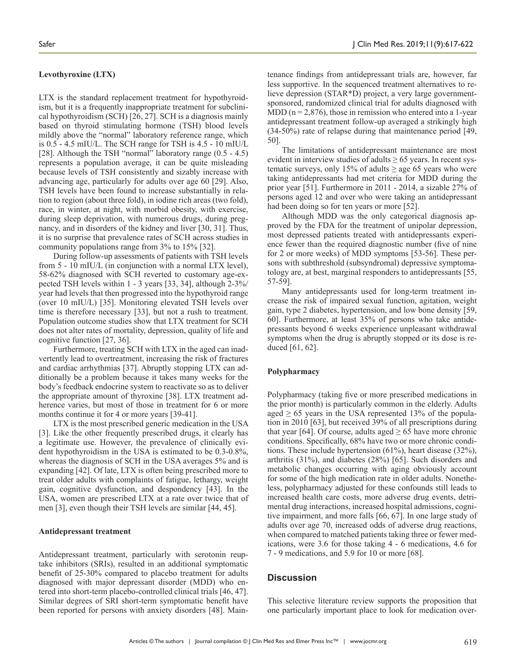### **Levothyroxine (LTX)**

LTX is the standard replacement treatment for hypothyroidism, but it is a frequently inappropriate treatment for subclinical hypothyroidism (SCH) [26, 27]. SCH is a diagnosis mainly based on thyroid stimulating hormone (TSH) blood levels mildly above the "normal" laboratory reference range, which is 0.5 - 4.5 mIU/L. The SCH range for TSH is 4.5 - 10 mIU/L [28]. Although the TSH "normal" laboratory range  $(0.5 - 4.5)$ represents a population average, it can be quite misleading because levels of TSH consistently and sizably increase with advancing age, particularly for adults over age 60 [29]. Also, TSH levels have been found to increase substantially in relation to region (about three fold), in iodine rich areas (two fold), race, in winter, at night, with morbid obesity, with exercise, during sleep deprivation, with numerous drugs, during pregnancy, and in disorders of the kidney and liver [30, 31]. Thus, it is no surprise that prevalence rates of SCH across studies in community populations range from 3% to 15% [32].

During follow-up assessments of patients with TSH levels from 5 - 10 mIU/L (in conjunction with a normal LTX level), 58-62% diagnosed with SCH reverted to customary age-expected TSH levels within 1 - 3 years [33, 34], although 2-3%/ year had levels that then progressed into the hypothyroid range (over 10 mIU/L) [35]. Monitoring elevated TSH levels over time is therefore necessary [33], but not a rush to treatment. Population outcome studies show that LTX treatment for SCH does not alter rates of mortality, depression, quality of life and cognitive function [27, 36].

Furthermore, treating SCH with LTX in the aged can inadvertently lead to overtreatment, increasing the risk of fractures and cardiac arrhythmias [37]. Abruptly stopping LTX can additionally be a problem because it takes many weeks for the body's feedback endocrine system to reactivate so as to deliver the appropriate amount of thyroxine [38]. LTX treatment adherence varies, but most of those in treatment for 6 or more months continue it for 4 or more years [39-41].

LTX is the most prescribed generic medication in the USA [3]. Like the other frequently prescribed drugs, it clearly has a legitimate use. However, the prevalence of clinically evident hypothyroidism in the USA is estimated to be 0.3-0.8%, whereas the diagnosis of SCH in the USA averages 5% and is expanding [42]. Of late, LTX is often being prescribed more to treat older adults with complaints of fatigue, lethargy, weight gain, cognitive dysfunction, and despondency [43]. In the USA, women are prescribed LTX at a rate over twice that of men [3], even though their TSH levels are similar [44, 45].

#### **Antidepressant treatment**

Antidepressant treatment, particularly with serotonin reuptake inhibitors (SRIs), resulted in an additional symptomatic benefit of 25-30% compared to placebo treatment for adults diagnosed with major depressant disorder (MDD) who entered into short-term placebo-controlled clinical trials [46, 47]. Similar degrees of SRI short-term symptomatic benefit have been reported for persons with anxiety disorders [48]. Main-

tenance findings from antidepressant trials are, however, far less supportive. In the sequenced treatment alternatives to relieve depression (STAR\*D) project, a very large governmentsponsored, randomized clinical trial for adults diagnosed with MDD ( $n = 2,876$ ), those in remission who entered into a 1-year antidepressant treatment follow-up averaged a strikingly high (34-50%) rate of relapse during that maintenance period [49, 50].

The limitations of antidepressant maintenance are most evident in interview studies of adults  $\geq 65$  years. In recent systematic surveys, only 15% of adults  $\geq$  age 65 years who were taking antidepressants had met criteria for MDD during the prior year [51]. Furthermore in 2011 - 2014, a sizable 27% of persons aged 12 and over who were taking an antidepressant had been doing so for ten years or more [52].

Although MDD was the only categorical diagnosis approved by the FDA for the treatment of unipolar depression, most depressed patients treated with antidepressants experience fewer than the required diagnostic number (five of nine for 2 or more weeks) of MDD symptoms [53-56]. These persons with subthreshold (subsyndromal) depressive symptomatology are, at best, marginal responders to antidepressants [55, 57-59].

Many antidepressants used for long-term treatment increase the risk of impaired sexual function, agitation, weight gain, type 2 diabetes, hypertension, and low bone density [59, 60]. Furthermore, at least 35% of persons who take antidepressants beyond 6 weeks experience unpleasant withdrawal symptoms when the drug is abruptly stopped or its dose is reduced [61, 62].

#### **Polypharmacy**

Polypharmacy (taking five or more prescribed medications in the prior month) is particularly common in the elderly. Adults aged  $\geq 65$  years in the USA represented 13% of the population in 2010 [63], but received 39% of all prescriptions during that year [64]. Of course, adults aged  $\geq$  65 have more chronic conditions. Specifically, 68% have two or more chronic conditions. These include hypertension (61%), heart disease (32%), arthritis (31%), and diabetes (28%) [65]. Such disorders and metabolic changes occurring with aging obviously account for some of the high medication rate in older adults. Nonetheless, polypharmacy adjusted for these confounds still leads to increased health care costs, more adverse drug events, detrimental drug interactions, increased hospital admissions, cognitive impairment, and more falls [66, 67]. In one large study of adults over age 70, increased odds of adverse drug reactions, when compared to matched patients taking three or fewer medications, were 3.6 for those taking 4 - 6 medications, 4.6 for 7 - 9 medications, and 5.9 for 10 or more [68].

#### **Discussion**

This selective literature review supports the proposition that one particularly important place to look for medication over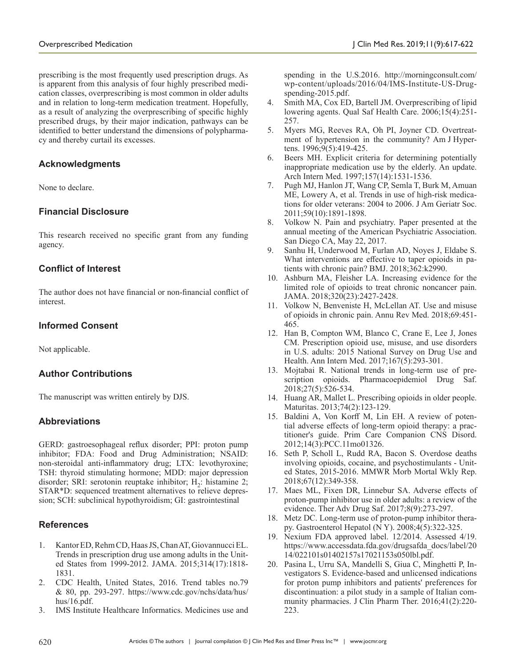prescribing is the most frequently used prescription drugs. As is apparent from this analysis of four highly prescribed medication classes, overprescribing is most common in older adults and in relation to long-term medication treatment. Hopefully, as a result of analyzing the overprescribing of specific highly prescribed drugs, by their major indication, pathways can be identified to better understand the dimensions of polypharmacy and thereby curtail its excesses.

# **Acknowledgments**

None to declare.

# **Financial Disclosure**

This research received no specific grant from any funding agency.

# **Conflict of Interest**

The author does not have financial or non-financial conflict of interest.

# **Informed Consent**

Not applicable.

# **Author Contributions**

The manuscript was written entirely by DJS.

# **Abbreviations**

GERD: gastroesophageal reflux disorder; PPI: proton pump inhibitor; FDA: Food and Drug Administration; NSAID: non-steroidal anti-inflammatory drug; LTX: levothyroxine; TSH: thyroid stimulating hormone; MDD: major depression disorder; SRI: serotonin reuptake inhibitor;  $H_2$ : histamine 2; STAR\*D: sequenced treatment alternatives to relieve depression; SCH: subclinical hypothyroidism; GI: gastrointestinal

# **References**

- 1. Kantor ED, Rehm CD, Haas JS, Chan AT, Giovannucci EL. Trends in prescription drug use among adults in the United States from 1999-2012. JAMA. 2015;314(17):1818- 1831.
- 2. CDC Health, United States, 2016. Trend tables no.79 & 80, pp. 293-297. https://www.cdc.gov/nchs/data/hus/ hus/16.pdf.
- 3. IMS Institute Healthcare Informatics. Medicines use and

spending in the U.S.2016. http://morningconsult.com/ wp-content/uploads/2016/04/IMS-Institute-US-Drugspending-2015.pdf.

- 4. Smith MA, Cox ED, Bartell JM. Overprescribing of lipid lowering agents. Qual Saf Health Care. 2006;15(4):251- 257.
- 5. Myers MG, Reeves RA, Oh PI, Joyner CD. Overtreatment of hypertension in the community? Am J Hypertens. 1996;9(5):419-425.
- 6. Beers MH. Explicit criteria for determining potentially inappropriate medication use by the elderly. An update. Arch Intern Med. 1997;157(14):1531-1536.
- 7. Pugh MJ, Hanlon JT, Wang CP, Semla T, Burk M, Amuan ME, Lowery A, et al. Trends in use of high-risk medications for older veterans: 2004 to 2006. J Am Geriatr Soc. 2011;59(10):1891-1898.
- 8. Volkow N. Pain and psychiatry. Paper presented at the annual meeting of the American Psychiatric Association. San Diego CA, May 22, 2017.
- 9. Sanhu H, Underwood M, Furlan AD, Noyes J, Eldabe S. What interventions are effective to taper opioids in patients with chronic pain? BMJ. 2018;362:k2990.
- 10. Ashburn MA, Fleisher LA. Increasing evidence for the limited role of opioids to treat chronic noncancer pain. JAMA. 2018;320(23):2427-2428.
- 11. Volkow N, Benveniste H, McLellan AT. Use and misuse of opioids in chronic pain. Annu Rev Med. 2018;69:451- 465.
- 12. Han B, Compton WM, Blanco C, Crane E, Lee J, Jones CM. Prescription opioid use, misuse, and use disorders in U.S. adults: 2015 National Survey on Drug Use and Health. Ann Intern Med. 2017;167(5):293-301.
- 13. Mojtabai R. National trends in long-term use of prescription opioids. Pharmacoepidemiol Drug Saf. 2018;27(5):526-534.
- 14. Huang AR, Mallet L. Prescribing opioids in older people. Maturitas. 2013;74(2):123-129.
- 15. Baldini A, Von Korff M, Lin EH. A review of potential adverse effects of long-term opioid therapy: a practitioner's guide. Prim Care Companion CNS Disord. 2012;14(3):PCC.11mo01326.
- 16. Seth P, Scholl L, Rudd RA, Bacon S. Overdose deaths involving opioids, cocaine, and psychostimulants - United States, 2015-2016. MMWR Morb Mortal Wkly Rep. 2018;67(12):349-358.
- 17. Maes ML, Fixen DR, Linnebur SA. Adverse effects of proton-pump inhibitor use in older adults: a review of the evidence. Ther Adv Drug Saf. 2017;8(9):273-297.
- 18. Metz DC. Long-term use of proton-pump inhibitor therapy. Gastroenterol Hepatol (N Y). 2008;4(5):322-325.
- 19. Nexium FDA approved label. 12/2014. Assessed 4/19. https://www.accessdata.fda.gov/drugsafda\_docs/label/20 14/022101s01402157s17021153s050lbl.pdf.
- 20. Pasina L, Urru SA, Mandelli S, Giua C, Minghetti P, Investigators S. Evidence-based and unlicensed indications for proton pump inhibitors and patients' preferences for discontinuation: a pilot study in a sample of Italian community pharmacies. J Clin Pharm Ther. 2016;41(2):220- 223.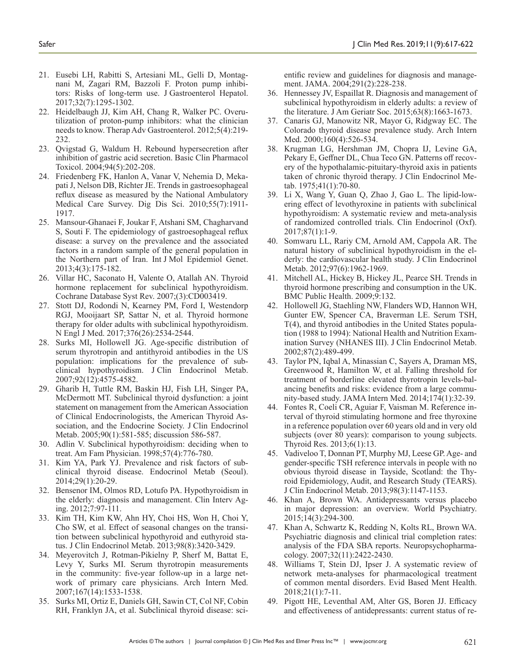- 21. Eusebi LH, Rabitti S, Artesiani ML, Gelli D, Montagnani M, Zagari RM, Bazzoli F. Proton pump inhibitors: Risks of long-term use. J Gastroenterol Hepatol. 2017;32(7):1295-1302.
- 22. Heidelbaugh JJ, Kim AH, Chang R, Walker PC. Overutilization of proton-pump inhibitors: what the clinician needs to know. Therap Adv Gastroenterol. 2012;5(4):219- 232.
- 23. Qvigstad G, Waldum H. Rebound hypersecretion after inhibition of gastric acid secretion. Basic Clin Pharmacol Toxicol. 2004;94(5):202-208.
- 24. Friedenberg FK, Hanlon A, Vanar V, Nehemia D, Mekapati J, Nelson DB, Richter JE. Trends in gastroesophageal reflux disease as measured by the National Ambulatory Medical Care Survey. Dig Dis Sci. 2010;55(7):1911- 1917.
- 25. Mansour-Ghanaei F, Joukar F, Atshani SM, Chagharvand S, Souti F. The epidemiology of gastroesophageal reflux disease: a survey on the prevalence and the associated factors in a random sample of the general population in the Northern part of Iran. Int J Mol Epidemiol Genet. 2013;4(3):175-182.
- 26. Villar HC, Saconato H, Valente O, Atallah AN. Thyroid hormone replacement for subclinical hypothyroidism. Cochrane Database Syst Rev. 2007;(3):CD003419.
- 27. Stott DJ, Rodondi N, Kearney PM, Ford I, Westendorp RGJ, Mooijaart SP, Sattar N, et al. Thyroid hormone therapy for older adults with subclinical hypothyroidism. N Engl J Med. 2017;376(26):2534-2544.
- 28. Surks MI, Hollowell JG. Age-specific distribution of serum thyrotropin and antithyroid antibodies in the US population: implications for the prevalence of subclinical hypothyroidism. J Clin Endocrinol Metab. 2007;92(12):4575-4582.
- 29. Gharib H, Tuttle RM, Baskin HJ, Fish LH, Singer PA, McDermott MT. Subclinical thyroid dysfunction: a joint statement on management from the American Association of Clinical Endocrinologists, the American Thyroid Association, and the Endocrine Society. J Clin Endocrinol Metab. 2005;90(1):581-585; discussion 586-587.
- 30. Adlin V. Subclinical hypothyroidism: deciding when to treat. Am Fam Physician. 1998;57(4):776-780.
- 31. Kim YA, Park YJ. Prevalence and risk factors of subclinical thyroid disease. Endocrinol Metab (Seoul). 2014;29(1):20-29.
- 32. Bensenor IM, Olmos RD, Lotufo PA. Hypothyroidism in the elderly: diagnosis and management. Clin Interv Aging. 2012;7:97-111.
- 33. Kim TH, Kim KW, Ahn HY, Choi HS, Won H, Choi Y, Cho SW, et al. Effect of seasonal changes on the transition between subclinical hypothyroid and euthyroid status. J Clin Endocrinol Metab. 2013;98(8):3420-3429.
- 34. Meyerovitch J, Rotman-Pikielny P, Sherf M, Battat E, Levy Y, Surks MI. Serum thyrotropin measurements in the community: five-year follow-up in a large network of primary care physicians. Arch Intern Med. 2007;167(14):1533-1538.
- 35. Surks MI, Ortiz E, Daniels GH, Sawin CT, Col NF, Cobin RH, Franklyn JA, et al. Subclinical thyroid disease: sci-

entific review and guidelines for diagnosis and management. JAMA. 2004;291(2):228-238.

- 36. Hennessey JV, Espaillat R. Diagnosis and management of subclinical hypothyroidism in elderly adults: a review of the literature. J Am Geriatr Soc. 2015;63(8):1663-1673.
- 37. Canaris GJ, Manowitz NR, Mayor G, Ridgway EC. The Colorado thyroid disease prevalence study. Arch Intern Med. 2000;160(4):526-534.
- 38. Krugman LG, Hershman JM, Chopra IJ, Levine GA, Pekary E, Geffner DL, Chua Teco GN. Patterns off recovery of the hypothalamic-pituitary-thyroid axis in patients taken of chronic thyroid therapy. J Clin Endocrinol Metab. 1975;41(1):70-80.
- 39. Li X, Wang Y, Guan Q, Zhao J, Gao L. The lipid-lowering effect of levothyroxine in patients with subclinical hypothyroidism: A systematic review and meta-analysis of randomized controlled trials. Clin Endocrinol (Oxf). 2017;87(1):1-9.
- 40. Somwaru LL, Rariy CM, Arnold AM, Cappola AR. The natural history of subclinical hypothyroidism in the elderly: the cardiovascular health study. J Clin Endocrinol Metab. 2012;97(6):1962-1969.
- 41. Mitchell AL, Hickey B, Hickey JL, Pearce SH. Trends in thyroid hormone prescribing and consumption in the UK. BMC Public Health. 2009;9:132.
- 42. Hollowell JG, Staehling NW, Flanders WD, Hannon WH, Gunter EW, Spencer CA, Braverman LE. Serum TSH, T(4), and thyroid antibodies in the United States population (1988 to 1994): National Health and Nutrition Examination Survey (NHANES III). J Clin Endocrinol Metab. 2002;87(2):489-499.
- 43. Taylor PN, Iqbal A, Minassian C, Sayers A, Draman MS, Greenwood R, Hamilton W, et al. Falling threshold for treatment of borderline elevated thyrotropin levels-balancing benefits and risks: evidence from a large community-based study. JAMA Intern Med. 2014;174(1):32-39.
- 44. Fontes R, Coeli CR, Aguiar F, Vaisman M. Reference interval of thyroid stimulating hormone and free thyroxine in a reference population over 60 years old and in very old subjects (over 80 years): comparison to young subjects. Thyroid Res. 2013;6(1):13.
- 45. Vadiveloo T, Donnan PT, Murphy MJ, Leese GP. Age- and gender-specific TSH reference intervals in people with no obvious thyroid disease in Tayside, Scotland: the Thyroid Epidemiology, Audit, and Research Study (TEARS). J Clin Endocrinol Metab. 2013;98(3):1147-1153.
- 46. Khan A, Brown WA. Antidepressants versus placebo in major depression: an overview. World Psychiatry. 2015;14(3):294-300.
- 47. Khan A, Schwartz K, Redding N, Kolts RL, Brown WA. Psychiatric diagnosis and clinical trial completion rates: analysis of the FDA SBA reports. Neuropsychopharmacology. 2007;32(11):2422-2430.
- 48. Williams T, Stein DJ, Ipser J. A systematic review of network meta-analyses for pharmacological treatment of common mental disorders. Evid Based Ment Health. 2018;21(1):7-11.
- 49. Pigott HE, Leventhal AM, Alter GS, Boren JJ. Efficacy and effectiveness of antidepressants: current status of re-